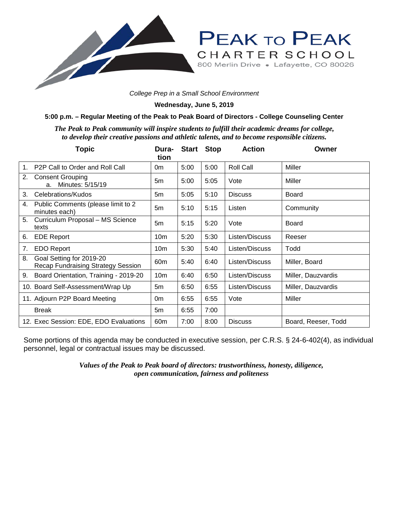

**Wednesday, June 5, 2019**

## **5:00 p.m. – Regular Meeting of the Peak to Peak Board of Directors - College Counseling Center**

*The Peak to Peak community will inspire students to fulfill their academic dreams for college, to develop their creative passions and athletic talents, and to become responsible citizens.*

|                | <b>Topic</b>                                                   | Dura-<br>tion   |      | <b>Start Stop</b> | <b>Action</b>    | Owner               |
|----------------|----------------------------------------------------------------|-----------------|------|-------------------|------------------|---------------------|
| 1 <sub>1</sub> | P <sub>2</sub> P Call to Order and Roll Call                   | 0m              | 5:00 | 5:00              | <b>Roll Call</b> | Miller              |
| 2.             | <b>Consent Grouping</b><br>Minutes: 5/15/19<br>a.              | 5m              | 5:00 | 5:05              | Vote             | Miller              |
| 3.             | Celebrations/Kudos                                             | 5m              | 5:05 | 5:10              | <b>Discuss</b>   | <b>Board</b>        |
| 4.             | Public Comments (please limit to 2<br>minutes each)            | 5m              | 5:10 | 5:15              | Listen           | Community           |
| 5.             | Curriculum Proposal - MS Science<br>texts                      | 5m              | 5:15 | 5:20              | Vote             | Board               |
| 6.             | <b>EDE Report</b>                                              | 10 <sub>m</sub> | 5:20 | 5:30              | Listen/Discuss   | Reeser              |
| 7.             | <b>EDO Report</b>                                              | 10 <sub>m</sub> | 5:30 | 5:40              | Listen/Discuss   | Todd                |
| 8.             | Goal Setting for 2019-20<br>Recap Fundraising Strategy Session | 60 <sub>m</sub> | 5:40 | 6:40              | Listen/Discuss   | Miller, Board       |
| 9.             | Board Orientation, Training - 2019-20                          | 10 <sub>m</sub> | 6:40 | 6:50              | Listen/Discuss   | Miller, Dauzvardis  |
|                | 10. Board Self-Assessment/Wrap Up                              | 5m              | 6:50 | 6:55              | Listen/Discuss   | Miller, Dauzvardis  |
|                | 11. Adjourn P2P Board Meeting                                  | 0m              | 6:55 | 6:55              | Vote             | Miller              |
|                | <b>Break</b>                                                   | 5m              | 6:55 | 7:00              |                  |                     |
|                | 12. Exec Session: EDE, EDO Evaluations                         | 60 <sub>m</sub> | 7:00 | 8:00              | <b>Discuss</b>   | Board, Reeser, Todd |

Some portions of this agenda may be conducted in executive session, per C.R.S. § 24-6-402(4), as individual personnel, legal or contractual issues may be discussed.

> *Values of the Peak to Peak board of directors: trustworthiness, honesty, diligence, open communication, fairness and politeness*